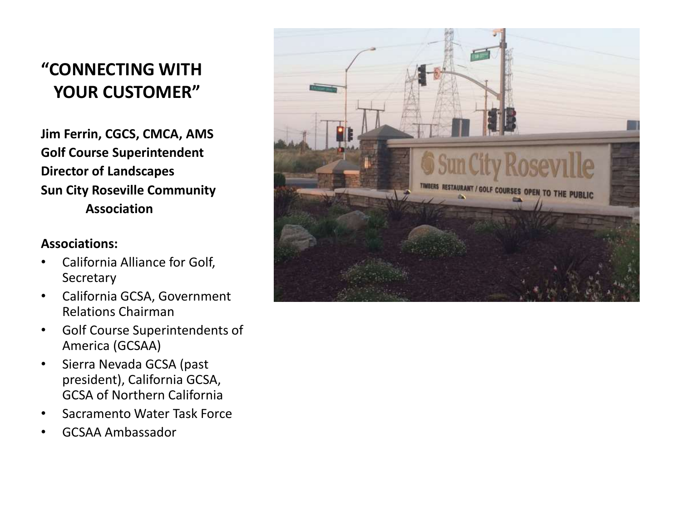## **"CONNECTING WITH YOUR CUSTOMER"**

**Jim Ferrin, CGCS, CMCA, AMS Golf Course Superintendent Director of Landscapes Sun City Roseville Community Association** 

#### **Associations:**

- California Alliance for Golf, Secretary
- California GCSA, Government Relations Chairman
- Golf Course Superintendents of America (GCSAA)
- Sierra Nevada GCSA (past president), California GCSA, GCSA of Northern California
- Sacramento Water Task Force
- GCSAA Ambassador

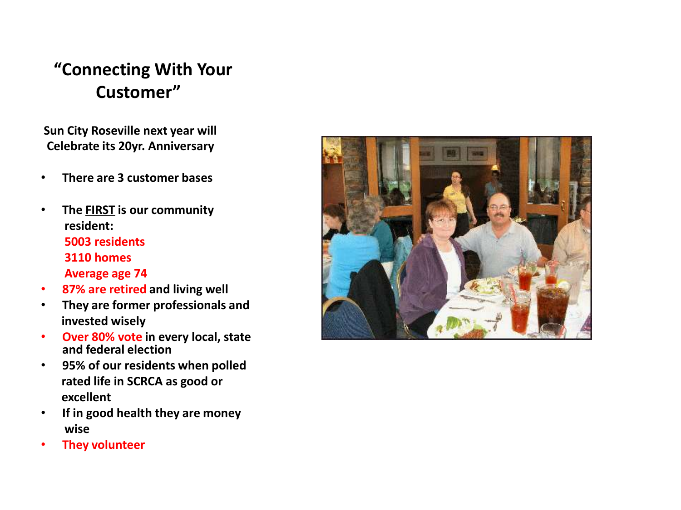**Sun City Roseville next year will Celebrate its 20yr. Anniversary**

- **There are 3 customer bases**
- **The FIRST is our community resident: 5003 residents 3110 homes Average age 74**
- **87% are retired and living well**
- **They are former professionals and invested wisely**
- **Over 80% vote in every local, state and federal election**
- **95% of our residents when polled rated life in SCRCA as good or excellent**
- **If in good health they are money wise**
- **They volunteer**

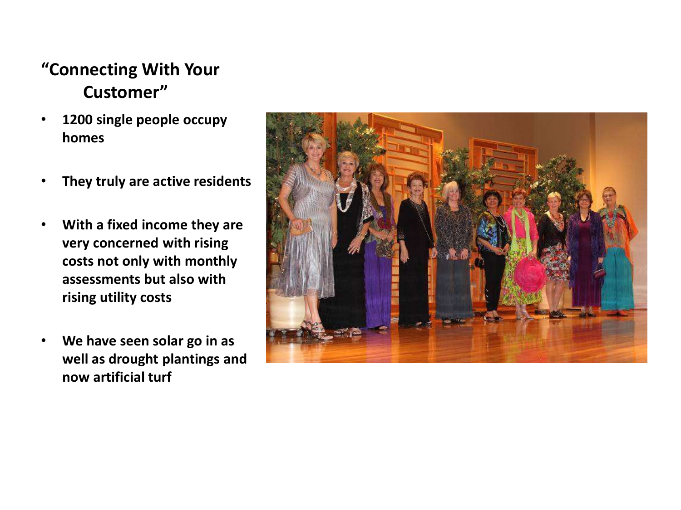- **1200 single people occupy homes**
- **They truly are active residents**
- **With a fixed income they are very concerned with rising costs not only with monthly assessments but also with rising utility costs**
- **We have seen solar go in as well as drought plantings and now artificial turf**

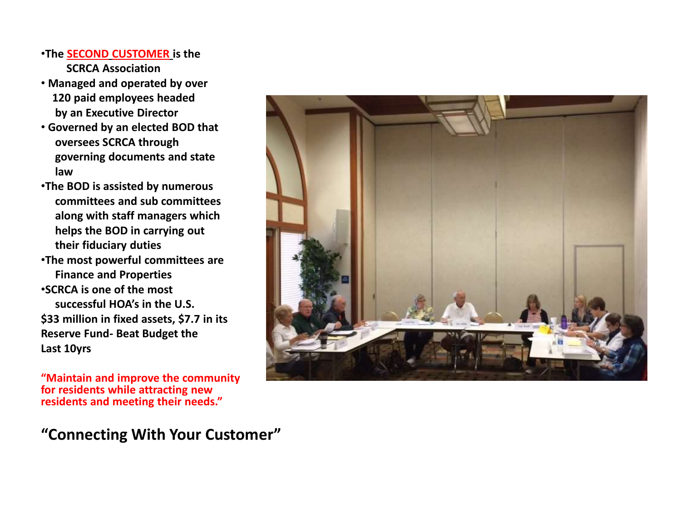#### •**The SECOND CUSTOMER is the SCRCA Association**

- **Managed and operated by over 120 paid employees headed by an Executive Director**
- **Governed by an elected BOD that oversees SCRCA through governing documents and state law**
- •**The BOD is assisted by numerous committees and sub committees along with staff managers which helps the BOD in carrying out their fiduciary duties**
- •**The most powerful committees are Finance and Properties**

•**SCRCA is one of the most successful HOA's in the U.S. \$33 million in fixed assets, \$7.7 in its Reserve Fund- Beat Budget the Last 10yrs**

**"Maintain and improve the community for residents while attracting new residents and meeting their needs."**

**"Connecting With Your Customer"**

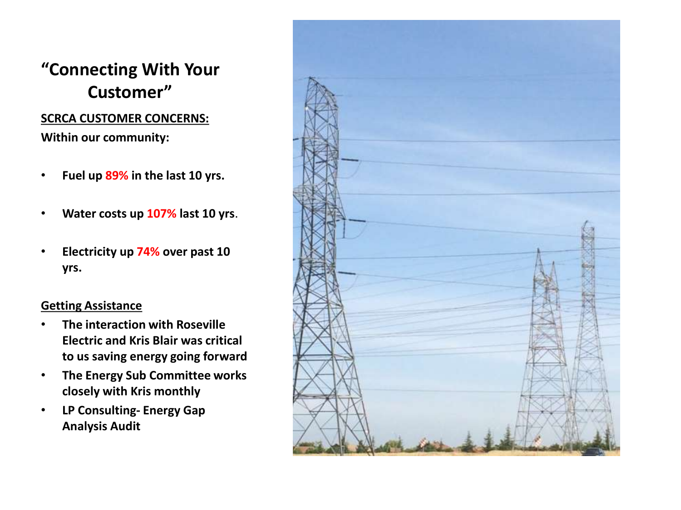#### **SCRCA CUSTOMER CONCERNS: Within our community:**

- **Fuel up 89% in the last 10 yrs.**
- **Water costs up 107% last 10 yrs**.
- **Electricity up 74% over past 10 yrs.**

#### **Getting Assistance**

- **The interaction with Roseville Electric and Kris Blair was critical to us saving energy going forward**
- **The Energy Sub Committee works closely with Kris monthly**
- **LP Consulting- Energy Gap Analysis Audit**

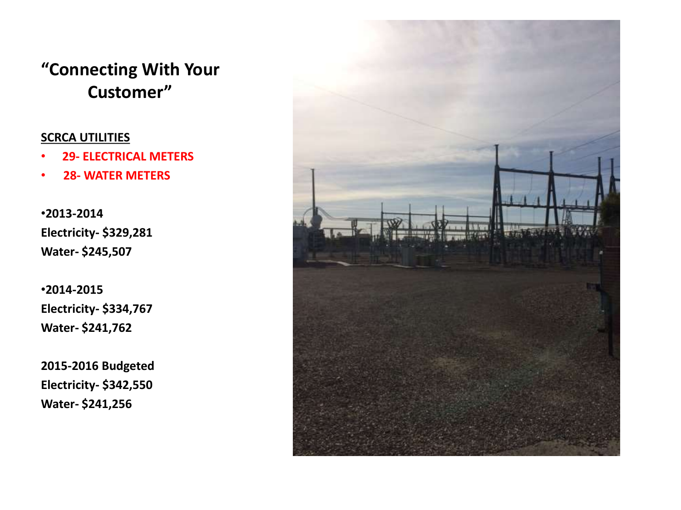#### **SCRCA UTILITIES**

- **29- ELECTRICAL METERS**
- **28- WATER METERS**

•**2013-2014 Electricity- \$329,281 Water- \$245,507**

•**2014-2015 Electricity- \$334,767 Water- \$241,762**

**2015-2016 Budgeted Electricity- \$342,550 Water- \$241,256**

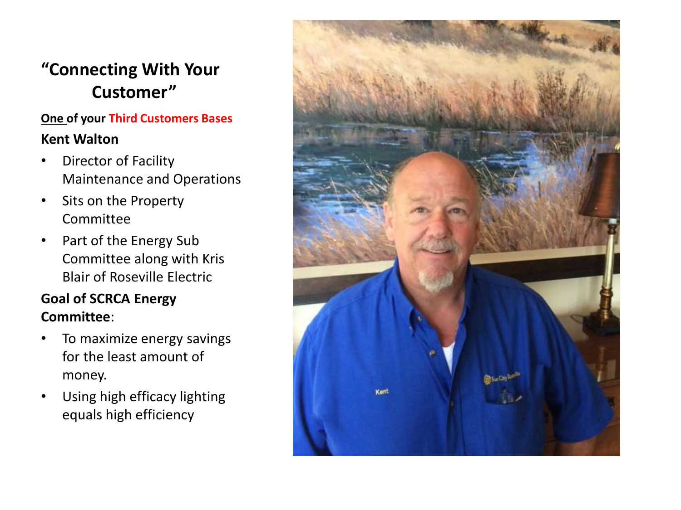#### **One of your Third Customers Bases Kent Walton**

- Director of Facility Maintenance and Operations
- Sits on the Property Committee
- Part of the Energy Sub Committee along with Kris Blair of Roseville Electric

### **Goal of SCRCA Energy Committee**:

- To maximize energy savings for the least amount of money.
- Using high efficacy lighting equals high efficiency

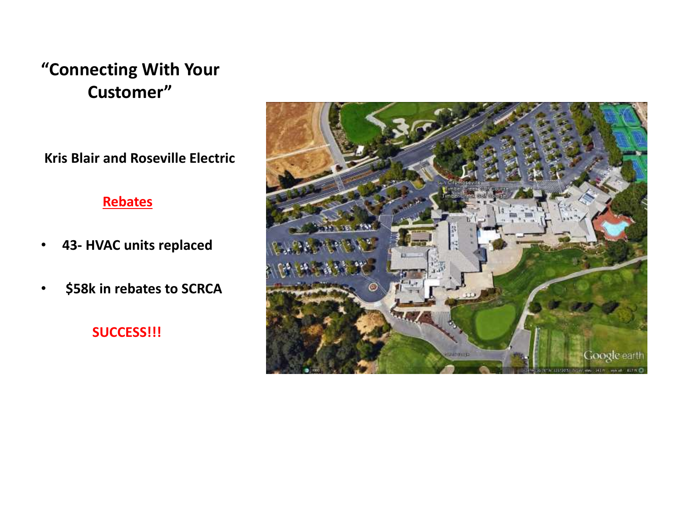**Kris Blair and Roseville Electric**

#### **Rebates**

- **43- HVAC units replaced**
- **\$58k in rebates to SCRCA**

**SUCCESS!!!**

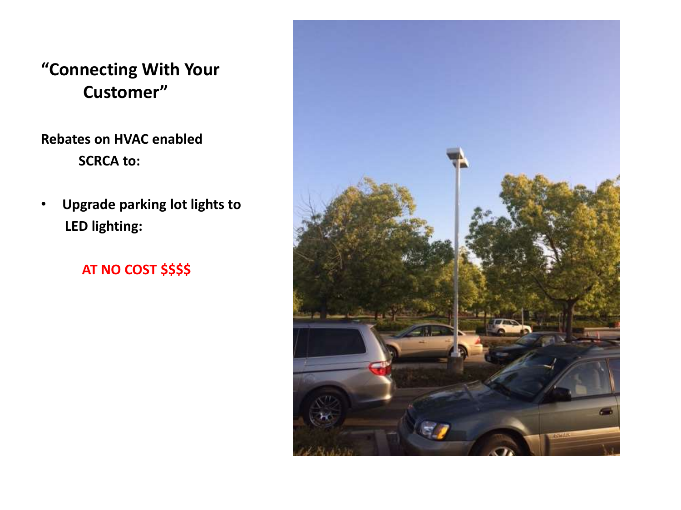**Rebates on HVAC enabled SCRCA to:**

• **Upgrade parking lot lights to LED lighting:**

### **AT NO COST \$\$\$\$**

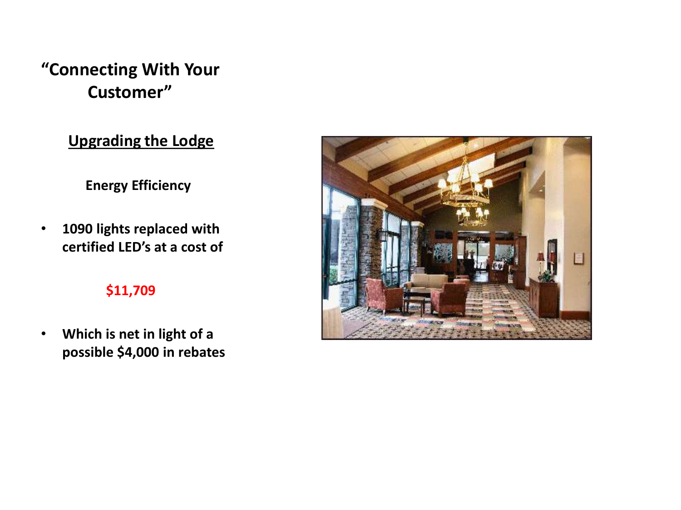### **Upgrading the Lodge**

**Energy Efficiency**

• **1090 lights replaced with certified LED's at a cost of**

#### **\$11,709**

• **Which is net in light of a possible \$4,000 in rebates**

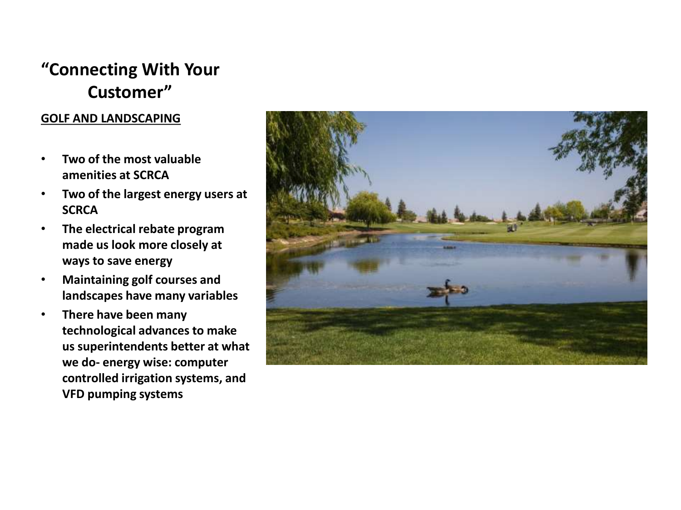#### **GOLF AND LANDSCAPING**

- **Two of the most valuable amenities at SCRCA**
- **Two of the largest energy users at SCRCA**
- **The electrical rebate program made us look more closely at ways to save energy**
- **Maintaining golf courses and landscapes have many variables**
- **There have been many technological advances to make us superintendents better at what we do- energy wise: computer controlled irrigation systems, and VFD pumping systems**

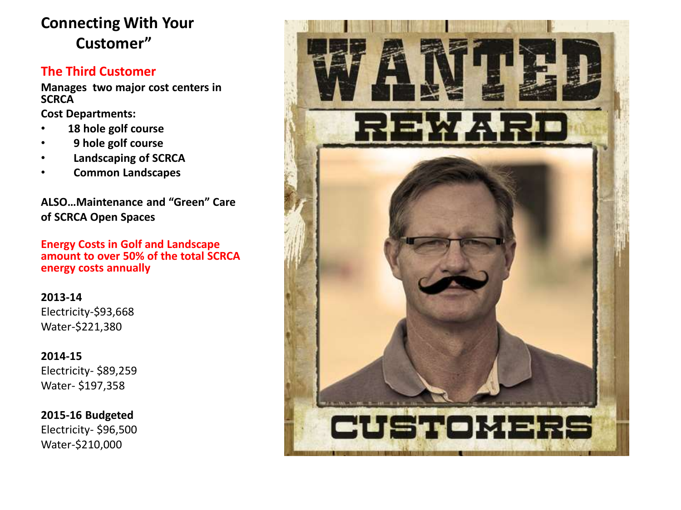#### **The Third Customer**

**Manages two major cost centers in SCRCA**

**Cost Departments:** 

- 18 hole golf course
- **9 hole golf course**
- **Landscaping of SCRCA**
- **Common Landscapes**

**ALSO…Maintenance and "Green" Care of SCRCA Open Spaces**

**Energy Costs in Golf and Landscape amount to over 50% of the total SCRCA energy costs annually**

**2013-14** Electricity-\$93,668 Water-\$221,380

**2014-15** Electricity- \$89,259 Water- \$197,358

**2015-16 Budgeted** Electricity- \$96,500 Water-\$210,000

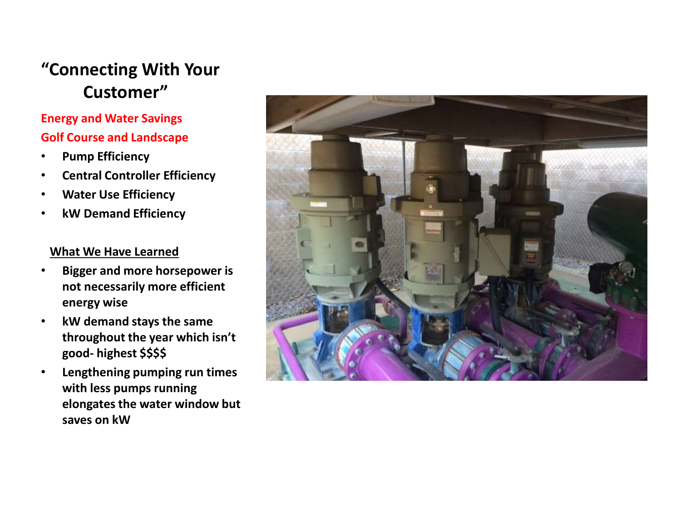#### **Energy and Water Savings Golf Course and Landscape**

- **Pump Efficiency**
- **Central Controller Efficiency**
- **Water Use Efficiency**
- **kW Demand Efficiency**

#### **What We Have Learned**

- **Bigger and more horsepower is not necessarily more efficient energy wise**
- **kW demand stays the same throughout the year which isn't good- highest \$\$\$\$**
- **Lengthening pumping run times with less pumps running elongates the water window but saves on kW**

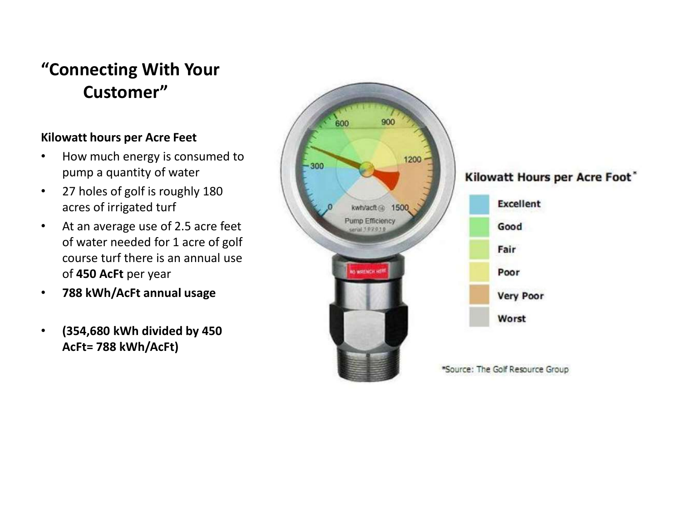#### **Kilowatt hours per Acre Feet**

- How much energy is consumed to pump a quantity of water
- 27 holes of golf is roughly 180 acres of irrigated turf
- At an average use of 2.5 acre feet of water needed for 1 acre of golf course turf there is an annual use of **450 AcFt** per year
- **788 kWh/AcFt annual usage**
- **(354,680 kWh divided by 450 AcFt= 788 kWh/AcFt)**

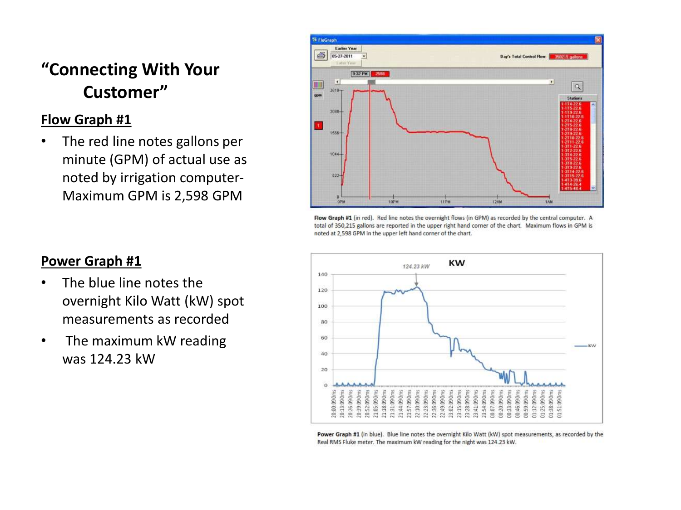#### **Flow Graph #1**

• The red line notes gallons per minute (GPM) of actual use as noted by irrigation computer-Maximum GPM is 2,598 GPM



Flow Graph #1 (in red). Red line notes the overnight flows (in GPM) as recorded by the central computer. A total of 350,215 gallons are reported in the upper right hand corner of the chart. Maximum flows in GPM is noted at 2,598 GPM in the upper left hand corner of the chart.



Power Graph #1 (in blue). Blue line notes the overnight Kilo Watt (kW) spot measurements, as recorded by the Real RMS Fluke meter. The maximum kW reading for the night was 124.23 kW.

#### **Power Graph #1**

- The blue line notes the overnight Kilo Watt (kW) spot measurements as recorded
- The maximum kW reading was 124.23 kW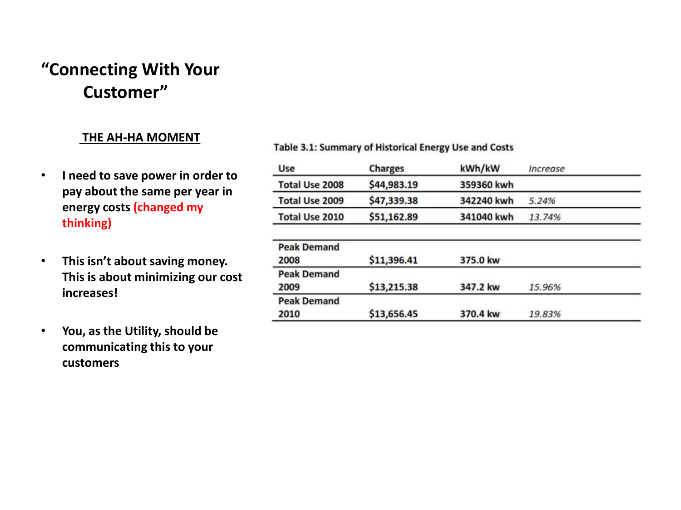#### **THE AH-HA MOMENT**

- **I need to save power in order to pay about the same per year in energy costs (changed my thinking)**
- **This isn't about saving money. This is about minimizing our cost increases!**
- **You, as the Utility, should be communicating this to your customers**

#### Table 3.1: Summary of Historical Energy Use and Costs

| Use                   | <b>Charges</b> | kWh/kW     | Increase |  |
|-----------------------|----------------|------------|----------|--|
| Total Use 2008        | \$44,983.19    | 359360 kwh |          |  |
| Total Use 2009        | \$47,339.38    | 342240 kwh | 5.24%    |  |
| <b>Total Use 2010</b> | \$51,162.89    | 341040 kwh | 13.74%   |  |
| <b>Peak Demand</b>    |                |            |          |  |
| 2008                  | \$11,396.41    | 375.0 kw   |          |  |
| <b>Peak Demand</b>    |                |            |          |  |
| 2009                  | \$13,215.38    | 347.2 kw   | 15.96%   |  |
| <b>Peak Demand</b>    |                |            |          |  |
| 2010                  | \$13,656.45    | 370.4 kw   | 19.83%   |  |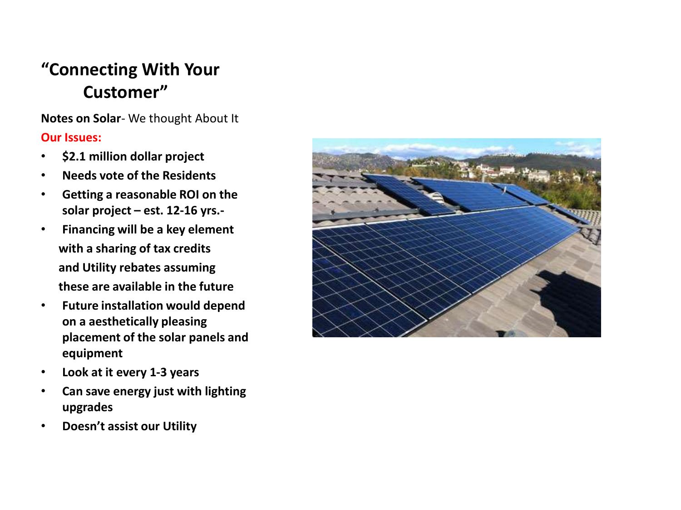**Notes on Solar**- We thought About It **Our Issues:**

- **\$2.1 million dollar project**
- **Needs vote of the Residents**
- **Getting a reasonable ROI on the solar project – est. 12-16 yrs.-**
- **Financing will be a key element with a sharing of tax credits and Utility rebates assuming these are available in the future**
- **Future installation would depend on a aesthetically pleasing placement of the solar panels and equipment**
- **Look at it every 1-3 years**
- **Can save energy just with lighting upgrades**
- **Doesn't assist our Utility**